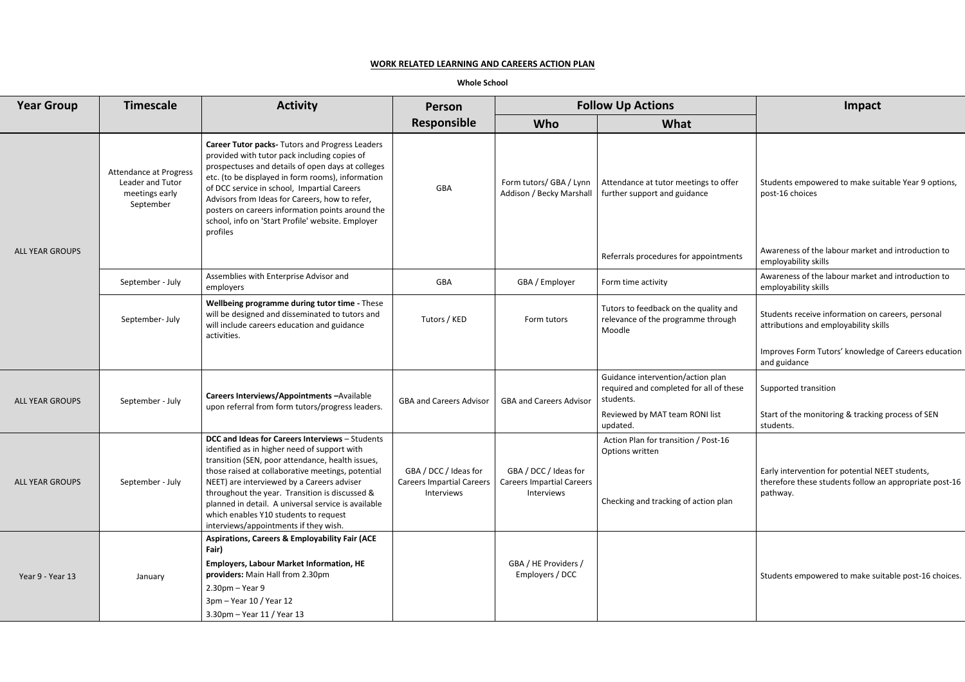# **WORK RELATED LEARNING AND CAREERS ACTION PLAN**

**Whole School**

| <b>Year Group</b>      | <b>Timescale</b>                                                                 | <b>Activity</b>                                                                                                                                                                                                                                                                                                                                                                                                                                   | <b>Person</b>                                                           | <b>Follow Up Actions</b>                                                |                                                                                                 | Impact                                                                                                              |
|------------------------|----------------------------------------------------------------------------------|---------------------------------------------------------------------------------------------------------------------------------------------------------------------------------------------------------------------------------------------------------------------------------------------------------------------------------------------------------------------------------------------------------------------------------------------------|-------------------------------------------------------------------------|-------------------------------------------------------------------------|-------------------------------------------------------------------------------------------------|---------------------------------------------------------------------------------------------------------------------|
|                        |                                                                                  |                                                                                                                                                                                                                                                                                                                                                                                                                                                   | <b>Responsible</b>                                                      | Who                                                                     | What                                                                                            |                                                                                                                     |
|                        | <b>Attendance at Progress</b><br>Leader and Tutor<br>meetings early<br>September | Career Tutor packs- Tutors and Progress Leaders<br>provided with tutor pack including copies of<br>prospectuses and details of open days at colleges<br>etc. (to be displayed in form rooms), information<br>of DCC service in school, Impartial Careers<br>Advisors from Ideas for Careers, how to refer,<br>posters on careers information points around the<br>school, info on 'Start Profile' website. Employer<br>profiles                   | GBA                                                                     | Form tutors/ GBA / Lynn<br>Addison / Becky Marshall                     | Attendance at tutor meetings to offer<br>further support and guidance                           | Students empowered to make suitable Year 9 option<br>post-16 choices                                                |
| <b>ALL YEAR GROUPS</b> |                                                                                  |                                                                                                                                                                                                                                                                                                                                                                                                                                                   |                                                                         |                                                                         | Referrals procedures for appointments                                                           | Awareness of the labour market and introduction to<br>employability skills                                          |
|                        | September - July                                                                 | Assemblies with Enterprise Advisor and<br>employers                                                                                                                                                                                                                                                                                                                                                                                               | GBA                                                                     | GBA / Employer                                                          | Form time activity                                                                              | Awareness of the labour market and introduction to<br>employability skills                                          |
|                        | September- July                                                                  | Wellbeing programme during tutor time - These<br>will be designed and disseminated to tutors and<br>will include careers education and guidance<br>activities.                                                                                                                                                                                                                                                                                    | Tutors / KED                                                            | Form tutors                                                             | Tutors to feedback on the quality and<br>relevance of the programme through<br>Moodle           | Students receive information on careers, personal<br>attributions and employability skills                          |
|                        |                                                                                  |                                                                                                                                                                                                                                                                                                                                                                                                                                                   |                                                                         |                                                                         |                                                                                                 | Improves Form Tutors' knowledge of Careers educat<br>and guidance                                                   |
| <b>ALL YEAR GROUPS</b> | September - July                                                                 | Careers Interviews/Appointments - Available<br>upon referral from form tutors/progress leaders.                                                                                                                                                                                                                                                                                                                                                   | <b>GBA and Careers Advisor</b>                                          | <b>GBA and Careers Advisor</b>                                          | Guidance intervention/action plan<br>required and completed for all of these<br>students.       | Supported transition                                                                                                |
|                        |                                                                                  |                                                                                                                                                                                                                                                                                                                                                                                                                                                   |                                                                         |                                                                         | Reviewed by MAT team RONI list<br>updated.                                                      | Start of the monitoring & tracking process of SEN<br>students.                                                      |
| <b>ALL YEAR GROUPS</b> | September - July                                                                 | DCC and Ideas for Careers Interviews - Students<br>identified as in higher need of support with<br>transition (SEN, poor attendance, health issues,<br>those raised at collaborative meetings, potential<br>NEET) are interviewed by a Careers adviser<br>throughout the year. Transition is discussed &<br>planned in detail. A universal service is available<br>which enables Y10 students to request<br>interviews/appointments if they wish. | GBA / DCC / Ideas for<br><b>Careers Impartial Careers</b><br>Interviews | GBA / DCC / Ideas for<br><b>Careers Impartial Careers</b><br>Interviews | Action Plan for transition / Post-16<br>Options written<br>Checking and tracking of action plan | Early intervention for potential NEET students,<br>therefore these students follow an appropriate post-<br>pathway. |
| Year 9 - Year 13       | January                                                                          | <b>Aspirations, Careers &amp; Employability Fair (ACE</b><br>Fair)<br><b>Employers, Labour Market Information, HE</b><br>providers: Main Hall from 2.30pm<br>$2.30$ pm – Year 9<br>3pm - Year 10 / Year 12<br>3.30pm - Year 11 / Year 13                                                                                                                                                                                                          |                                                                         | GBA / HE Providers /<br>Employers / DCC                                 |                                                                                                 | Students empowered to make suitable post-16 choid                                                                   |

|                                                             | <b>Follow Up Actions</b>                                                                        | <b>Impact</b>                                                                                                         |  |  |
|-------------------------------------------------------------|-------------------------------------------------------------------------------------------------|-----------------------------------------------------------------------------------------------------------------------|--|--|
| Who                                                         | What                                                                                            |                                                                                                                       |  |  |
| n tutors/ GBA / Lynn<br>ison / Becky Marshall               | Attendance at tutor meetings to offer<br>further support and guidance                           | Students empowered to make suitable Year 9 options,<br>post-16 choices                                                |  |  |
|                                                             | Referrals procedures for appointments                                                           | Awareness of the labour market and introduction to<br>employability skills                                            |  |  |
| GBA / Employer                                              | Form time activity                                                                              | Awareness of the labour market and introduction to<br>employability skills                                            |  |  |
| Form tutors                                                 | Tutors to feedback on the quality and<br>relevance of the programme through<br>Moodle           | Students receive information on careers, personal<br>attributions and employability skills                            |  |  |
|                                                             |                                                                                                 | Improves Form Tutors' knowledge of Careers education<br>and guidance                                                  |  |  |
| and Careers Advisor                                         | Guidance intervention/action plan<br>required and completed for all of these<br>students.       | Supported transition                                                                                                  |  |  |
|                                                             | Reviewed by MAT team RONI list<br>updated.                                                      | Start of the monitoring & tracking process of SEN<br>students.                                                        |  |  |
| BA / DCC / Ideas for<br>ers Impartial Careers<br>Interviews | Action Plan for transition / Post-16<br>Options written<br>Checking and tracking of action plan | Early intervention for potential NEET students,<br>therefore these students follow an appropriate post-16<br>pathway. |  |  |
| BA / HE Providers /<br>Employers / DCC                      |                                                                                                 | Students empowered to make suitable post-16 choices.                                                                  |  |  |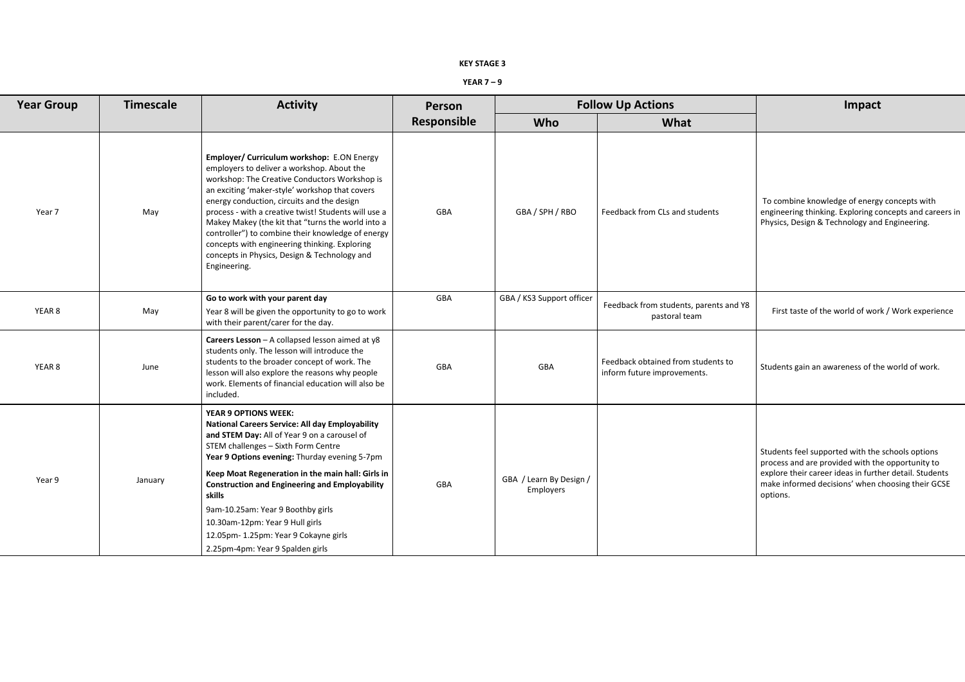### **KEY STAGE 3**

### **YEAR 7 – 9**

| <b>Year Group</b> | <b>Timescale</b> | <b>Activity</b>                                                                                                                                                                                                                                                                                                                                                                                                                                                                                                              | Person      | <b>Follow Up Actions</b>             |                                                                   | <b>Impact</b>                                                                                                                                                                                                       |
|-------------------|------------------|------------------------------------------------------------------------------------------------------------------------------------------------------------------------------------------------------------------------------------------------------------------------------------------------------------------------------------------------------------------------------------------------------------------------------------------------------------------------------------------------------------------------------|-------------|--------------------------------------|-------------------------------------------------------------------|---------------------------------------------------------------------------------------------------------------------------------------------------------------------------------------------------------------------|
|                   |                  |                                                                                                                                                                                                                                                                                                                                                                                                                                                                                                                              | Responsible | <b>Who</b>                           | What                                                              |                                                                                                                                                                                                                     |
| Year 7            | May              | Employer/ Curriculum workshop: E.ON Energy<br>employers to deliver a workshop. About the<br>workshop: The Creative Conductors Workshop is<br>an exciting 'maker-style' workshop that covers<br>energy conduction, circuits and the design<br>process - with a creative twist! Students will use a<br>Makey Makey (the kit that "turns the world into a<br>controller") to combine their knowledge of energy<br>concepts with engineering thinking. Exploring<br>concepts in Physics, Design & Technology and<br>Engineering. | GBA         | GBA / SPH / RBO                      | Feedback from CLs and students                                    | To combine knowledge of energy concepts with<br>engineering thinking. Exploring concepts and careers<br>Physics, Design & Technology and Engineering.                                                               |
| YEAR 8            | May              | Go to work with your parent day<br>Year 8 will be given the opportunity to go to work<br>with their parent/carer for the day.                                                                                                                                                                                                                                                                                                                                                                                                | GBA         | GBA / KS3 Support officer            | Feedback from students, parents and Y8<br>pastoral team           | First taste of the world of work / Work experience                                                                                                                                                                  |
| YEAR 8            | June             | Careers Lesson - A collapsed lesson aimed at y8<br>students only. The lesson will introduce the<br>students to the broader concept of work. The<br>lesson will also explore the reasons why people<br>work. Elements of financial education will also be<br>included.                                                                                                                                                                                                                                                        | GBA         | GBA                                  | Feedback obtained from students to<br>inform future improvements. | Students gain an awareness of the world of work.                                                                                                                                                                    |
| Year 9            | January          | <b>YEAR 9 OPTIONS WEEK:</b><br><b>National Careers Service: All day Employability</b><br>and STEM Day: All of Year 9 on a carousel of<br>STEM challenges - Sixth Form Centre<br>Year 9 Options evening: Thurday evening 5-7pm<br>Keep Moat Regeneration in the main hall: Girls in<br><b>Construction and Engineering and Employability</b>                                                                                                                                                                                  | GBA         | GBA / Learn By Design /<br>Employers |                                                                   | Students feel supported with the schools options<br>process and are provided with the opportunity to<br>explore their career ideas in further detail. Students<br>make informed decisions' when choosing their GCSE |
|                   |                  | skills<br>9am-10.25am: Year 9 Boothby girls<br>10.30am-12pm: Year 9 Hull girls<br>12.05pm-1.25pm: Year 9 Cokayne girls<br>2.25pm-4pm: Year 9 Spalden girls                                                                                                                                                                                                                                                                                                                                                                   |             |                                      |                                                                   | options.                                                                                                                                                                                                            |

L

| <b>w Up Actions</b>                                               | Impact                                                                                                                                                                                                                          |
|-------------------------------------------------------------------|---------------------------------------------------------------------------------------------------------------------------------------------------------------------------------------------------------------------------------|
| <b>What</b>                                                       |                                                                                                                                                                                                                                 |
| <b>Feedback from CLs and students</b>                             | To combine knowledge of energy concepts with<br>engineering thinking. Exploring concepts and careers in<br>Physics, Design & Technology and Engineering.                                                                        |
| Feedback from students, parents and Y8<br>pastoral team           | First taste of the world of work / Work experience                                                                                                                                                                              |
| Feedback obtained from students to<br>inform future improvements. | Students gain an awareness of the world of work.                                                                                                                                                                                |
|                                                                   | Students feel supported with the schools options<br>process and are provided with the opportunity to<br>explore their career ideas in further detail. Students<br>make informed decisions' when choosing their GCSE<br>options. |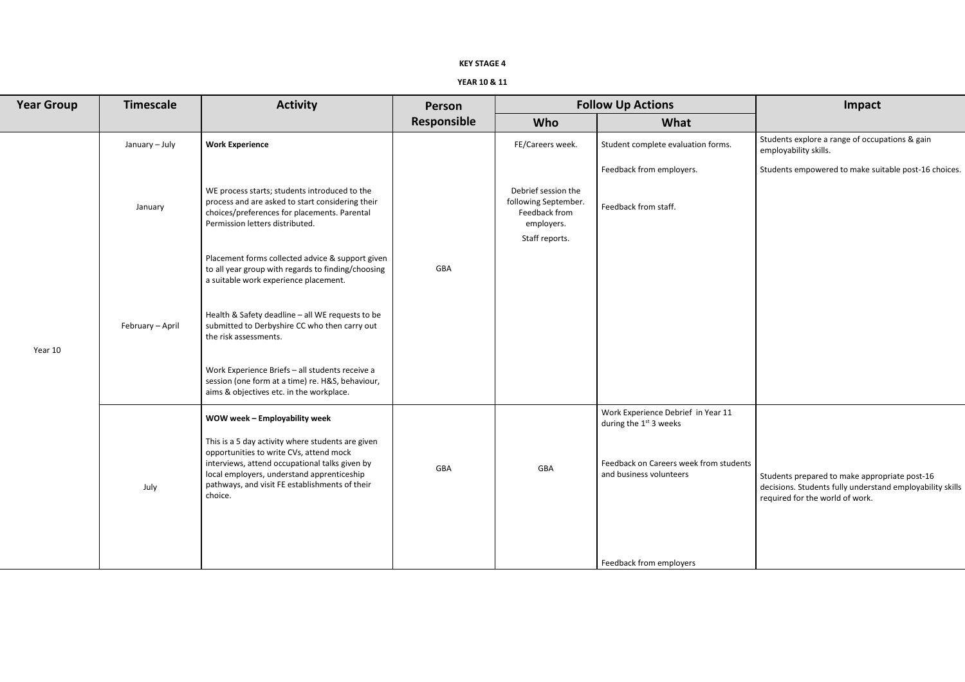### **KEY STAGE 4**

# **YEAR 10 & 11**

| <b>w Up Actions</b>                                                      | Impact                                                                                                                                        |  |  |  |
|--------------------------------------------------------------------------|-----------------------------------------------------------------------------------------------------------------------------------------------|--|--|--|
| <b>What</b>                                                              |                                                                                                                                               |  |  |  |
| Student complete evaluation forms.                                       | Students explore a range of occupations & gain<br>employability skills.                                                                       |  |  |  |
| Feedback from employers.                                                 | Students empowered to make suitable post-16 choices.                                                                                          |  |  |  |
| Feedback from staff.                                                     |                                                                                                                                               |  |  |  |
| Work Experience Debrief in Year 11<br>during the 1 <sup>st</sup> 3 weeks |                                                                                                                                               |  |  |  |
| Feedback on Careers week from students<br>and business volunteers        | Students prepared to make appropriate post-16<br>decisions. Students fully understand employability skills<br>required for the world of work. |  |  |  |
| Feedback from employers                                                  |                                                                                                                                               |  |  |  |

| <b>Year Group</b> | <b>Timescale</b> | <b>Activity</b>                                                                                                                                                                                                                                           | Person      | <b>Follow Up Actions</b>                                                                     |                                                                   | Impact                                                                                                                             |
|-------------------|------------------|-----------------------------------------------------------------------------------------------------------------------------------------------------------------------------------------------------------------------------------------------------------|-------------|----------------------------------------------------------------------------------------------|-------------------------------------------------------------------|------------------------------------------------------------------------------------------------------------------------------------|
|                   |                  |                                                                                                                                                                                                                                                           | Responsible | <b>Who</b>                                                                                   | What                                                              |                                                                                                                                    |
|                   | January - July   | <b>Work Experience</b>                                                                                                                                                                                                                                    |             | FE/Careers week.                                                                             | Student complete evaluation forms.                                | Students explore a range of occupations & gain<br>employability skills.                                                            |
|                   |                  |                                                                                                                                                                                                                                                           |             |                                                                                              | Feedback from employers.                                          | Students empowered to make suitable post-16                                                                                        |
| Year 10           | January          | WE process starts; students introduced to the<br>process and are asked to start considering their<br>choices/preferences for placements. Parental<br>Permission letters distributed.                                                                      |             | Debrief session the<br>following September.<br>Feedback from<br>employers.<br>Staff reports. | Feedback from staff.                                              |                                                                                                                                    |
|                   |                  | Placement forms collected advice & support given<br>to all year group with regards to finding/choosing<br>a suitable work experience placement.                                                                                                           | GBA         |                                                                                              |                                                                   |                                                                                                                                    |
|                   | February - April | Health & Safety deadline - all WE requests to be<br>submitted to Derbyshire CC who then carry out<br>the risk assessments.                                                                                                                                |             |                                                                                              |                                                                   |                                                                                                                                    |
|                   |                  | Work Experience Briefs - all students receive a<br>session (one form at a time) re. H&S, behaviour,<br>aims & objectives etc. in the workplace.                                                                                                           |             |                                                                                              |                                                                   |                                                                                                                                    |
|                   |                  | WOW week - Employability week                                                                                                                                                                                                                             |             |                                                                                              | Work Experience Debrief in Year 11<br>during the $1st$ 3 weeks    |                                                                                                                                    |
|                   | July             | This is a 5 day activity where students are given<br>opportunities to write CVs, attend mock<br>interviews, attend occupational talks given by<br>local employers, understand apprenticeship<br>pathways, and visit FE establishments of their<br>choice. | GBA         | GBA                                                                                          | Feedback on Careers week from students<br>and business volunteers | Students prepared to make appropriate post-16<br>decisions. Students fully understand employabi<br>required for the world of work. |
|                   |                  |                                                                                                                                                                                                                                                           |             |                                                                                              | Feedback from employers                                           |                                                                                                                                    |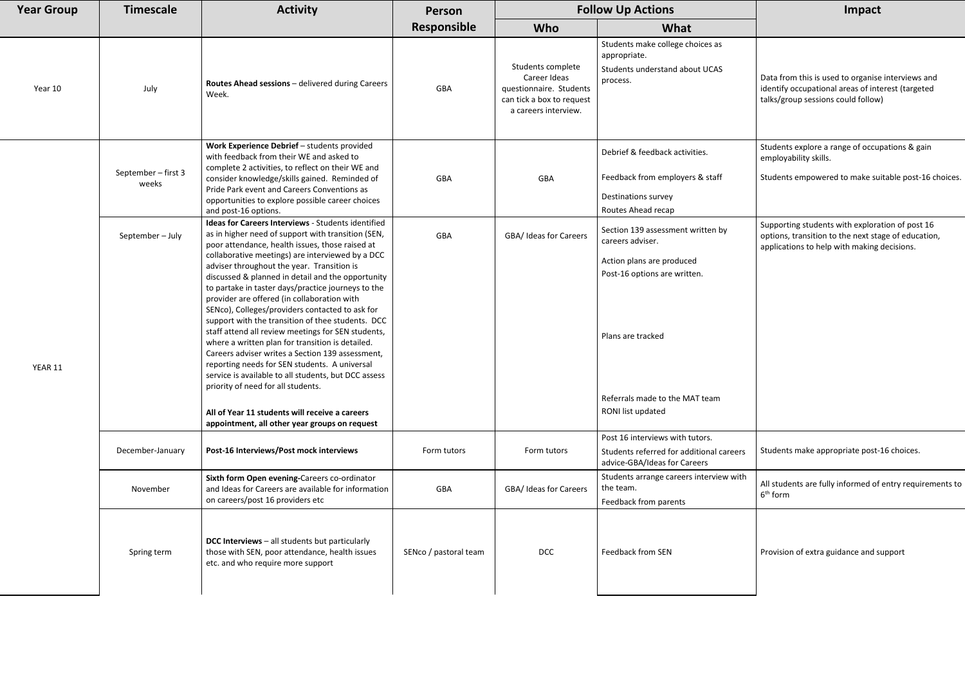|                         | <b>Follow Up Actions</b>                                                                                           | <b>Impact</b>                                                                                                                                         |  |  |  |
|-------------------------|--------------------------------------------------------------------------------------------------------------------|-------------------------------------------------------------------------------------------------------------------------------------------------------|--|--|--|
|                         | What                                                                                                               |                                                                                                                                                       |  |  |  |
| e<br>ents<br>uest<br>V. | Students make college choices as<br>appropriate.<br>Students understand about UCAS<br>process.                     | Data from this is used to organise interviews and<br>identify occupational areas of interest (targeted<br>talks/group sessions could follow)          |  |  |  |
|                         | Debrief & feedback activities.                                                                                     | Students explore a range of occupations & gain<br>employability skills.                                                                               |  |  |  |
|                         | Feedback from employers & staff                                                                                    | Students empowered to make suitable post-16 choices.                                                                                                  |  |  |  |
|                         | Destinations survey<br>Routes Ahead recap                                                                          |                                                                                                                                                       |  |  |  |
| ers                     | Section 139 assessment written by<br>careers adviser.<br>Action plans are produced<br>Post-16 options are written. | Supporting students with exploration of post 16<br>options, transition to the next stage of education,<br>applications to help with making decisions. |  |  |  |
|                         | Plans are tracked                                                                                                  |                                                                                                                                                       |  |  |  |
|                         | Referrals made to the MAT team<br>RONI list updated                                                                |                                                                                                                                                       |  |  |  |
|                         | Post 16 interviews with tutors.<br>Students referred for additional careers<br>advice-GBA/Ideas for Careers        | Students make appropriate post-16 choices.                                                                                                            |  |  |  |
| ers                     | Students arrange careers interview with<br>the team.<br>Feedback from parents                                      | All students are fully informed of entry requirements to<br>6 <sup>th</sup> form                                                                      |  |  |  |
|                         | <b>Feedback from SEN</b>                                                                                           | Provision of extra guidance and support                                                                                                               |  |  |  |

| <b>Year Group</b> | <b>Timescale</b>             | <b>Activity</b>                                                                                                                                                                                                                                                                                                                                                                                                                                                                                                                                                                                                                                                                                                                                                                                                                                                                                                                                 | Person                | <b>Follow Up Actions</b>                                                                                          |                                                                                                                                                                                                | Impact                                                                                                                            |
|-------------------|------------------------------|-------------------------------------------------------------------------------------------------------------------------------------------------------------------------------------------------------------------------------------------------------------------------------------------------------------------------------------------------------------------------------------------------------------------------------------------------------------------------------------------------------------------------------------------------------------------------------------------------------------------------------------------------------------------------------------------------------------------------------------------------------------------------------------------------------------------------------------------------------------------------------------------------------------------------------------------------|-----------------------|-------------------------------------------------------------------------------------------------------------------|------------------------------------------------------------------------------------------------------------------------------------------------------------------------------------------------|-----------------------------------------------------------------------------------------------------------------------------------|
|                   |                              |                                                                                                                                                                                                                                                                                                                                                                                                                                                                                                                                                                                                                                                                                                                                                                                                                                                                                                                                                 | Responsible           | Who                                                                                                               | What                                                                                                                                                                                           |                                                                                                                                   |
| Year 10           | July                         | Routes Ahead sessions - delivered during Careers<br>Week.                                                                                                                                                                                                                                                                                                                                                                                                                                                                                                                                                                                                                                                                                                                                                                                                                                                                                       | GBA                   | Students complete<br>Career Ideas<br>questionnaire. Students<br>can tick a box to request<br>a careers interview. | Students make college choices as<br>appropriate.<br>Students understand about UCAS<br>process.                                                                                                 | Data from this is used to organise interv<br>identify occupational areas of interest (<br>talks/group sessions could follow)      |
|                   | September - first 3<br>weeks | Work Experience Debrief - students provided<br>with feedback from their WE and asked to<br>complete 2 activities, to reflect on their WE and<br>consider knowledge/skills gained. Reminded of<br>Pride Park event and Careers Conventions as<br>opportunities to explore possible career choices<br>and post-16 options.                                                                                                                                                                                                                                                                                                                                                                                                                                                                                                                                                                                                                        | GBA                   | GBA                                                                                                               | Debrief & feedback activities.<br>Feedback from employers & staff<br><b>Destinations survey</b><br>Routes Ahead recap                                                                          | Students explore a range of occupations<br>employability skills.<br>Students empowered to make suitable                           |
| YEAR 11           | September-July               | Ideas for Careers Interviews - Students identified<br>as in higher need of support with transition (SEN,<br>poor attendance, health issues, those raised at<br>collaborative meetings) are interviewed by a DCC<br>adviser throughout the year. Transition is<br>discussed & planned in detail and the opportunity<br>to partake in taster days/practice journeys to the<br>provider are offered (in collaboration with<br>SENco), Colleges/providers contacted to ask for<br>support with the transition of thee students. DCC<br>staff attend all review meetings for SEN students,<br>where a written plan for transition is detailed.<br>Careers adviser writes a Section 139 assessment,<br>reporting needs for SEN students. A universal<br>service is available to all students, but DCC assess<br>priority of need for all students.<br>All of Year 11 students will receive a careers<br>appointment, all other year groups on request | GBA                   | GBA/ Ideas for Careers                                                                                            | Section 139 assessment written by<br>careers adviser.<br>Action plans are produced<br>Post-16 options are written.<br>Plans are tracked<br>Referrals made to the MAT team<br>RONI list updated | Supporting students with exploration of<br>options, transition to the next stage of e<br>applications to help with making decisio |
|                   | December-January             | Post-16 Interviews/Post mock interviews                                                                                                                                                                                                                                                                                                                                                                                                                                                                                                                                                                                                                                                                                                                                                                                                                                                                                                         | Form tutors           | Form tutors                                                                                                       | Post 16 interviews with tutors.<br>Students referred for additional careers<br>advice-GBA/Ideas for Careers                                                                                    | Students make appropriate post-16 cho                                                                                             |
|                   | November                     | Sixth form Open evening-Careers co-ordinator<br>and Ideas for Careers are available for information<br>on careers/post 16 providers etc                                                                                                                                                                                                                                                                                                                                                                                                                                                                                                                                                                                                                                                                                                                                                                                                         | GBA                   | GBA/ Ideas for Careers                                                                                            | Students arrange careers interview with<br>the team.<br>Feedback from parents                                                                                                                  | All students are fully informed of entry<br>6 <sup>th</sup> form                                                                  |
|                   | Spring term                  | <b>DCC Interviews</b> - all students but particularly<br>those with SEN, poor attendance, health issues<br>etc. and who require more support                                                                                                                                                                                                                                                                                                                                                                                                                                                                                                                                                                                                                                                                                                                                                                                                    | SENco / pastoral team | <b>DCC</b>                                                                                                        | <b>Feedback from SEN</b>                                                                                                                                                                       | Provision of extra guidance and support                                                                                           |